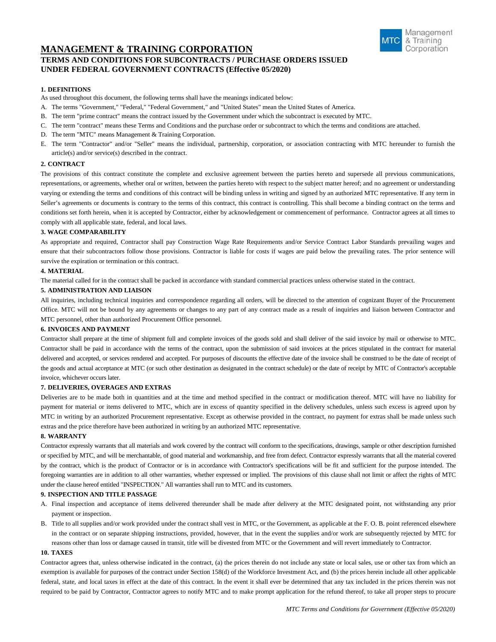# **MANAGEMENT & TRAINING CORPORATION TERMS AND CONDITIONS FOR SUBCONTRACTS / PURCHASE ORDERS ISSUED UNDER FEDERAL GOVERNMENT CONTRACTS (Effective 05/2020)**



## **1. DEFINITIONS**

As used throughout this document, the following terms shall have the meanings indicated below:

- A. The terms "Government," "Federal," "Federal Government," and "United States" mean the United States of America.
- B. The term "prime contract" means the contract issued by the Government under which the subcontract is executed by MTC.
- C. The term "contract" means these Terms and Conditions and the purchase order or subcontract to which the terms and conditions are attached.
- D. The term "MTC" means Management & Training Corporation.
- E. The term "Contractor" and/or "Seller" means the individual, partnership, corporation, or association contracting with MTC hereunder to furnish the article(s) and/or service(s) described in the contract.

## **2. CONTRACT**

The provisions of this contract constitute the complete and exclusive agreement between the parties hereto and supersede all previous communications, representations, or agreements, whether oral or written, between the parties hereto with respect to the subject matter hereof; and no agreement or understanding varying or extending the terms and conditions of this contract will be binding unless in writing and signed by an authorized MTC representative. If any term in Seller's agreements or documents is contrary to the terms of this contract, this contract is controlling. This shall become a binding contract on the terms and conditions set forth herein, when it is accepted by Contractor, either by acknowledgement or commencement of performance. Contractor agrees at all times to comply with all applicable state, federal, and local laws.

### **3. WAGE COMPARABILITY**

As appropriate and required, Contractor shall pay Construction Wage Rate Requirements and/or Service Contract Labor Standards prevailing wages and ensure that their subcontractors follow those provisions. Contractor is liable for costs if wages are paid below the prevailing rates. The prior sentence will survive the expiration or termination or this contract.

### **4. MATERIAL**

The material called for in the contract shall be packed in accordance with standard commercial practices unless otherwise stated in the contract.

## **5. ADMINISTRATION AND LIAISON**

All inquiries, including technical inquiries and correspondence regarding all orders, will be directed to the attention of cognizant Buyer of the Procurement Office. MTC will not be bound by any agreements or changes to any part of any contract made as a result of inquiries and liaison between Contractor and MTC personnel, other than authorized Procurement Office personnel.

## **6. INVOICES AND PAYMENT**

Contractor shall prepare at the time of shipment full and complete invoices of the goods sold and shall deliver of the said invoice by mail or otherwise to MTC. Contractor shall be paid in accordance with the terms of the contract, upon the submission of said invoices at the prices stipulated in the contract for material delivered and accepted, or services rendered and accepted. For purposes of discounts the effective date of the invoice shall be construed to be the date of receipt of the goods and actual acceptance at MTC (or such other destination as designated in the contract schedule) or the date of receipt by MTC of Contractor's acceptable invoice, whichever occurs later.

## **7. DELIVERIES, OVERAGES AND EXTRAS**

Deliveries are to be made both in quantities and at the time and method specified in the contract or modification thereof. MTC will have no liability for payment for material or items delivered to MTC, which are in excess of quantity specified in the delivery schedules, unless such excess is agreed upon by MTC in writing by an authorized Procurement representative. Except as otherwise provided in the contract, no payment for extras shall be made unless such extras and the price therefore have been authorized in writing by an authorized MTC representative.

#### **8. WARRANTY**

Contractor expressly warrants that all materials and work covered by the contract will conform to the specifications, drawings, sample or other description furnished or specified by MTC, and will be merchantable, of good material and workmanship, and free from defect. Contractor expressly warrants that all the material covered by the contract, which is the product of Contractor or is in accordance with Contractor's specifications will be fit and sufficient for the purpose intended. The foregoing warranties are in addition to all other warranties, whether expressed or implied. The provisions of this clause shall not limit or affect the rights of MTC under the clause hereof entitled "INSPECTION." All warranties shall run to MTC and its customers.

## **9. INSPECTION AND TITLE PASSAGE**

- A. Final inspection and acceptance of items delivered thereunder shall be made after delivery at the MTC designated point, not withstanding any prior payment or inspection.
- B. Title to all supplies and/or work provided under the contract shall vest in MTC, or the Government, as applicable at the F. O. B. point referenced elsewhere in the contract or on separate shipping instructions, provided, however, that in the event the supplies and/or work are subsequently rejected by MTC for reasons other than loss or damage caused in transit, title will be divested from MTC or the Government and will revert immediately to Contractor.

## **10. TAXES**

Contractor agrees that, unless otherwise indicated in the contract, (a) the prices therein do not include any state or local sales, use or other tax from which an exemption is available for purposes of the contract under Section 158(d) of the Workforce Investment Act, and (b) the prices herein include all other applicable federal, state, and local taxes in effect at the date of this contract. In the event it shall ever be determined that any tax included in the prices therein was not required to be paid by Contractor, Contractor agrees to notify MTC and to make prompt application for the refund thereof, to take all proper steps to procure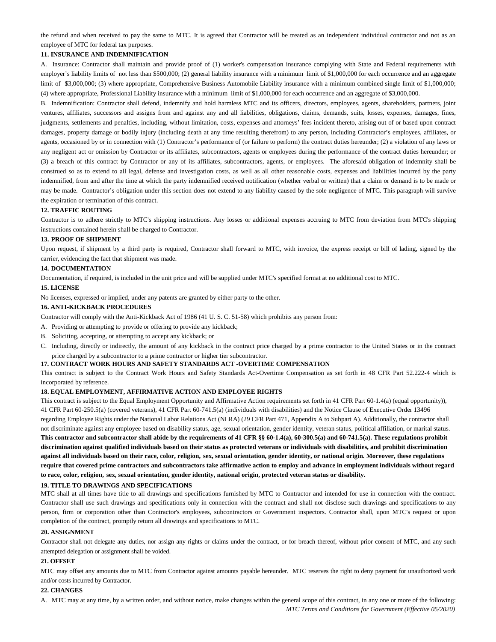the refund and when received to pay the same to MTC. It is agreed that Contractor will be treated as an independent individual contractor and not as an employee of MTC for federal tax purposes.

## **11. INSURANCE AND INDEMNIFICATION**

A. Insurance: Contractor shall maintain and provide proof of (1) worker's compensation insurance complying with State and Federal requirements with employer's liability limits of not less than \$500,000; (2) general liability insurance with a minimum limit of \$1,000,000 for each occurrence and an aggregate limit of \$3,000,000; (3) where appropriate, Comprehensive Business Automobile Liability insurance with a minimum combined single limit of \$1,000,000; (4) where appropriate, Professional Liability insurance with a minimum limit of \$1,000,000 for each occurrence and an aggregate of \$3,000,000.

B. Indemnification: Contractor shall defend, indemnify and hold harmless MTC and its officers, directors, employees, agents, shareholders, partners, joint ventures, affiliates, successors and assigns from and against any and all liabilities, obligations, claims, demands, suits, losses, expenses, damages, fines, judgments, settlements and penalties, including, without limitation, costs, expenses and attorneys' fees incident thereto, arising out of or based upon contract damages, property damage or bodily injury (including death at any time resulting therefrom) to any person, including Contractor's employees, affiliates, or agents, occasioned by or in connection with (1) Contractor's performance of (or failure to perform) the contract duties hereunder; (2) a violation of any laws or any negligent act or omission by Contractor or its affiliates, subcontractors, agents or employees during the performance of the contract duties hereunder; or (3) a breach of this contract by Contractor or any of its affiliates, subcontractors, agents, or employees. The aforesaid obligation of indemnity shall be construed so as to extend to all legal, defense and investigation costs, as well as all other reasonable costs, expenses and liabilities incurred by the party indemnified, from and after the time at which the party indemnified received notification (whether verbal or written) that a claim or demand is to be made or may be made. Contractor's obligation under this section does not extend to any liability caused by the sole negligence of MTC. This paragraph will survive the expiration or termination of this contract.

#### **12. TRAFFIC ROUTING**

Contractor is to adhere strictly to MTC's shipping instructions. Any losses or additional expenses accruing to MTC from deviation from MTC's shipping instructions contained herein shall be charged to Contractor.

#### **13. PROOF OF SHIPMENT**

Upon request, if shipment by a third party is required, Contractor shall forward to MTC, with invoice, the express receipt or bill of lading, signed by the carrier, evidencing the fact that shipment was made.

#### **14. DOCUMENTATION**

Documentation, if required, is included in the unit price and will be supplied under MTC's specified format at no additional cost to MTC.

### **15. LICENSE**

No licenses, expressed or implied, under any patents are granted by either party to the other.

#### **16. ANTI-KICKBACK PROCEDURES**

Contractor will comply with the Anti-Kickback Act of 1986 (41 U. S. C. 51-58) which prohibits any person from:

- A. Providing or attempting to provide or offering to provide any kickback;
- B. Soliciting, accepting, or attempting to accept any kickback; or
- C. Including, directly or indirectly, the amount of any kickback in the contract price charged by a prime contractor to the United States or in the contract price charged by a subcontractor to a prime contractor or higher tier subcontractor.

#### **17. CONTRACT WORK HOURS AND SAFETY STANDARDS ACT -OVERTIME COMPENSATION**

This contract is subject to the Contract Work Hours and Safety Standards Act-Overtime Compensation as set forth in 48 CFR Part 52.222-4 which is incorporated by reference.

### **18. EQUAL EMPLOYMENT, AFFIRMATIVE ACTION AND EMPLOYEE RIGHTS**

This contract is subject to the Equal Employment Opportunity and Affirmative Action requirements set forth in 41 CFR Part 60-1.4(a) (equal opportunity)), 41 CFR Part 60-250.5(a) (covered veterans), 41 CFR Part 60-741.5(a) (individuals with disabilities) and the Notice Clause of Executive Order 13496

regarding Employee Rights under the National Labor Relations Act (NLRA) (29 CFR Part 471, Appendix A to Subpart A). Additionally, the contractor shall not discriminate against any employee based on disability status, age, sexual orientation, gender identity, veteran status, political affiliation, or marital status. **This contractor and subcontractor shall abide by the requirements of 41 CFR §§ 60-1.4(a), 60-300.5(a) and 60-741.5(a). These regulations prohibit discrimination against qualified individuals based on their status as protected veterans or individuals with disabilities, and prohibit discrimination against all individuals based on their race, color, religion, sex, sexual orientation, gender identity, or national origin. Moreover, these regulations require that covered prime contractors and subcontractors take affirmative action to employ and advance in employment individuals without regard to race, color, religion, sex, sexual orientation, gender identity, national origin, protected veteran status or disability.**

#### **19. TITLE TO DRAWINGS AND SPECIFICATIONS**

MTC shall at all times have title to all drawings and specifications furnished by MTC to Contractor and intended for use in connection with the contract. Contractor shall use such drawings and specifications only in connection with the contract and shall not disclose such drawings and specifications to any person, firm or corporation other than Contractor's employees, subcontractors or Government inspectors. Contractor shall, upon MTC's request or upon completion of the contract, promptly return all drawings and specifications to MTC.

#### **20. ASSIGNMENT**

Contractor shall not delegate any duties, nor assign any rights or claims under the contract, or for breach thereof, without prior consent of MTC, and any such attempted delegation or assignment shall be voided.

#### **21. OFFSET**

MTC may offset any amounts due to MTC from Contractor against amounts payable hereunder. MTC reserves the right to deny payment for unauthorized work and/or costs incurred by Contractor.

## **22. CHANGES**

*MTC Terms and Conditions for Government (Effective 05/2020)* A. MTC may at any time, by a written order, and without notice, make changes within the general scope of this contract, in any one or more of the following: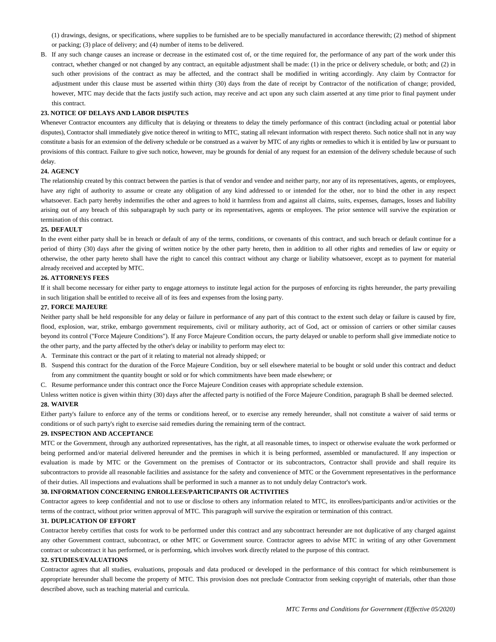(1) drawings, designs, or specifications, where supplies to be furnished are to be specially manufactured in accordance therewith; (2) method of shipment or packing; (3) place of delivery; and (4) number of items to be delivered.

B. If any such change causes an increase or decrease in the estimated cost of, or the time required for, the performance of any part of the work under this contract, whether changed or not changed by any contract, an equitable adjustment shall be made: (1) in the price or delivery schedule, or both; and (2) in such other provisions of the contract as may be affected, and the contract shall be modified in writing accordingly. Any claim by Contractor for adjustment under this clause must be asserted within thirty (30) days from the date of receipt by Contractor of the notification of change; provided, however, MTC may decide that the facts justify such action, may receive and act upon any such claim asserted at any time prior to final payment under this contract.

#### **23. NOTICE OF DELAYS AND LABOR DISPUTES**

Whenever Contractor encounters any difficulty that is delaying or threatens to delay the timely performance of this contract (including actual or potential labor disputes), Contractor shall immediately give notice thereof in writing to MTC, stating all relevant information with respect thereto. Such notice shall not in any way constitute a basis for an extension of the delivery schedule or be construed as a waiver by MTC of any rights or remedies to which it is entitled by law or pursuant to provisions of this contract. Failure to give such notice, however, may be grounds for denial of any request for an extension of the delivery schedule because of such delay.

### **24. AGENCY**

The relationship created by this contract between the parties is that of vendor and vendee and neither party, nor any of its representatives, agents, or employees, have any right of authority to assume or create any obligation of any kind addressed to or intended for the other, nor to bind the other in any respect whatsoever. Each party hereby indemnifies the other and agrees to hold it harmless from and against all claims, suits, expenses, damages, losses and liability arising out of any breach of this subparagraph by such party or its representatives, agents or employees. The prior sentence will survive the expiration or termination of this contract.

## **25. DEFAULT**

In the event either party shall be in breach or default of any of the terms, conditions, or covenants of this contract, and such breach or default continue for a period of thirty (30) days after the giving of written notice by the other party hereto, then in addition to all other rights and remedies of law or equity or otherwise, the other party hereto shall have the right to cancel this contract without any charge or liability whatsoever, except as to payment for material already received and accepted by MTC.

#### **26. ATTORNEYS FEES**

If it shall become necessary for either party to engage attorneys to institute legal action for the purposes of enforcing its rights hereunder, the party prevailing in such litigation shall be entitled to receive all of its fees and expenses from the losing party.

#### **27. FORCE MAJEURE**

Neither party shall be held responsible for any delay or failure in performance of any part of this contract to the extent such delay or failure is caused by fire, flood, explosion, war, strike, embargo government requirements, civil or military authority, act of God, act or omission of carriers or other similar causes beyond its control ("Force Majeure Conditions"). If any Force Majeure Condition occurs, the party delayed or unable to perform shall give immediate notice to the other party, and the party affected by the other's delay or inability to perform may elect to:

- A. Terminate this contract or the part of it relating to material not already shipped; or
- B. Suspend this contract for the duration of the Force Majeure Condition, buy or sell elsewhere material to be bought or sold under this contract and deduct from any commitment the quantity bought or sold or for which commitments have been made elsewhere; or
- C. Resume performance under this contract once the Force Majeure Condition ceases with appropriate schedule extension.

Unless written notice is given within thirty (30) days after the affected party is notified of the Force Majeure Condition, paragraph B shall be deemed selected. **28. WAIVER**

Either party's failure to enforce any of the terms or conditions hereof, or to exercise any remedy hereunder, shall not constitute a waiver of said terms or conditions or of such party's right to exercise said remedies during the remaining term of the contract.

#### **29. INSPECTION AND ACCEPTANCE**

MTC or the Government, through any authorized representatives, has the right, at all reasonable times, to inspect or otherwise evaluate the work performed or being performed and/or material delivered hereunder and the premises in which it is being performed, assembled or manufactured. If any inspection or evaluation is made by MTC or the Government on the premises of Contractor or its subcontractors, Contractor shall provide and shall require its subcontractors to provide all reasonable facilities and assistance for the safety and convenience of MTC or the Government representatives in the performance of their duties. All inspections and evaluations shall be performed in such a manner as to not unduly delay Contractor's work.

#### **30. INFORMATION CONCERNING ENROLLEES/PARTICIPANTS OR ACTIVITIES**

Contractor agrees to keep confidential and not to use or disclose to others any information related to MTC, its enrollees/participants and/or activities or the terms of the contract, without prior written approval of MTC. This paragraph will survive the expiration or termination of this contract.

## **31. DUPLICATION OF EFFORT**

Contractor hereby certifies that costs for work to be performed under this contract and any subcontract hereunder are not duplicative of any charged against any other Government contract, subcontract, or other MTC or Government source. Contractor agrees to advise MTC in writing of any other Government contract or subcontract it has performed, or is performing, which involves work directly related to the purpose of this contract.

#### **32. STUDIES/EVALUATIONS**

Contractor agrees that all studies, evaluations, proposals and data produced or developed in the performance of this contract for which reimbursement is appropriate hereunder shall become the property of MTC. This provision does not preclude Contractor from seeking copyright of materials, other than those described above, such as teaching material and curricula.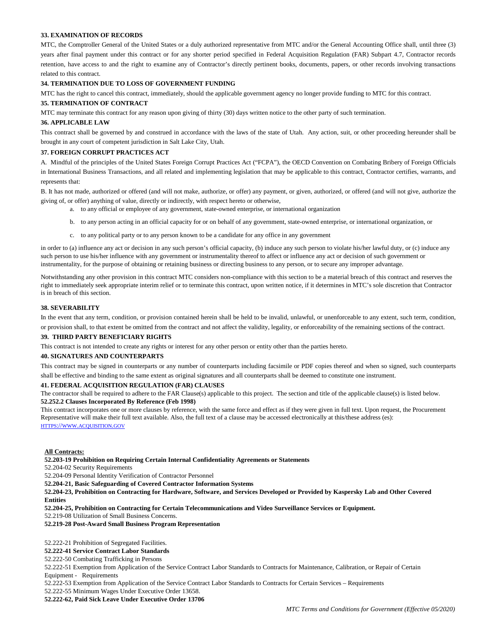## **33. EXAMINATION OF RECORDS**

MTC, the Comptroller General of the United States or a duly authorized representative from MTC and/or the General Accounting Office shall, until three (3) years after final payment under this contract or for any shorter period specified in Federal Acquisition Regulation (FAR) Subpart 4.7, Contractor records retention, have access to and the right to examine any of Contractor's directly pertinent books, documents, papers, or other records involving transactions related to this contract.

#### **34. TERMINATION DUE TO LOSS OF GOVERNMENT FUNDING**

MTC has the right to cancel this contract, immediately, should the applicable government agency no longer provide funding to MTC for this contract.

## **35. TERMINATION OF CONTRACT**

MTC may terminate this contract for any reason upon giving of thirty (30) days written notice to the other party of such termination.

#### **36. APPLICABLE LAW**

This contract shall be governed by and construed in accordance with the laws of the state of Utah. Any action, suit, or other proceeding hereunder shall be brought in any court of competent jurisdiction in Salt Lake City, Utah.

## **37. FOREIGN CORRUPT PRACTICES ACT**

A. Mindful of the principles of the United States Foreign Corrupt Practices Act ("FCPA"), the OECD Convention on Combating Bribery of Foreign Officials in International Business Transactions, and all related and implementing legislation that may be applicable to this contract, Contractor certifies, warrants, and represents that:

B. It has not made, authorized or offered (and will not make, authorize, or offer) any payment, or given, authorized, or offered (and will not give, authorize the giving of, or offer) anything of value, directly or indirectly, with respect hereto or otherwise,

- a. to any official or employee of any government, state-owned enterprise, or international organization
- b. to any person acting in an official capacity for or on behalf of any government, state-owned enterprise, or international organization, or
- c. to any political party or to any person known to be a candidate for any office in any government

in order to (a) influence any act or decision in any such person's official capacity, (b) induce any such person to violate his/her lawful duty, or (c) induce any such person to use his/her influence with any government or instrumentality thereof to affect or influence any act or decision of such government or instrumentality, for the purpose of obtaining or retaining business or directing business to any person, or to secure any improper advantage.

Notwithstanding any other provision in this contract MTC considers non-compliance with this section to be a material breach of this contract and reserves the right to immediately seek appropriate interim relief or to terminate this contract, upon written notice, if it determines in MTC's sole discretion that Contractor is in breach of this section.

#### **38. SEVERABILITY**

In the event that any term, condition, or provision contained herein shall be held to be invalid, unlawful, or unenforceable to any extent, such term, condition, or provision shall, to that extent be omitted from the contract and not affect the validity, legality, or enforceability of the remaining sections of the contract.

#### **39. THIRD PARTY BENEFICIARY RIGHTS**

This contract is not intended to create any rights or interest for any other person or entity other than the parties hereto.

## **40. SIGNATURES AND COUNTERPARTS**

This contract may be signed in counterparts or any number of counterparts including facsimile or PDF copies thereof and when so signed, such counterparts shall be effective and binding to the same extent as original signatures and all counterparts shall be deemed to constitute one instrument.

#### **41. FEDERAL ACQUISITION REGULATION (FAR) CLAUSES**

The contractor shall be required to adhere to the FAR Clause(s) applicable to this project. The section and title of the applicable clause(s) is listed below. **52.252.2 Clauses Incorporated By Reference (Feb 1998)** 

This contract incorporates one or more clauses by reference, with the same force and effect as if they were given in full text. Upon request, the Procurement Representative will make their full text available. Also, the full text of a clause may be accessed electronically at this/these address (es): [HTTPS://WWW.ACQUISITION.GOV](https://www.acquisition.gov/)

#### **All Contracts:**

**52.203-19 Prohibition on Requiring Certain Internal Confidentiality Agreements or Statements**

52.204-02 Security Requirements

52.204-09 Personal Identity Verification of Contractor Personnel

**52.204-21, Basic Safeguarding of Covered Contractor Information Systems** 

**52.204-23, Prohibition on Contracting for Hardware, Software, and Services Developed or Provided by Kaspersky Lab and Other Covered Entities**

**52.204-25, Prohibition on Contracting for Certain Telecommunications and Video Surveillance Services or Equipment.** 

52.219-08 Utilization of Small Business Concerns.

### **52.219-28 Post-Award Small Business Program Representation**

52.222-21 Prohibition of Segregated Facilities.

**52.222-41 Service Contract Labor Standards**

52.222-50 Combating Trafficking in Persons

52.222-51 Exemption from Application of the Service Contract Labor Standards to Contracts for Maintenance, Calibration, or Repair of Certain Equipment - Requirements

52.222-53 Exemption from Application of the Service Contract Labor Standards to Contracts for Certain Services – Requirements

52.222-55 Minimum Wages Under Executive Order 13658.

**52.222-62, Paid Sick Leave Under Executive Order 13706**